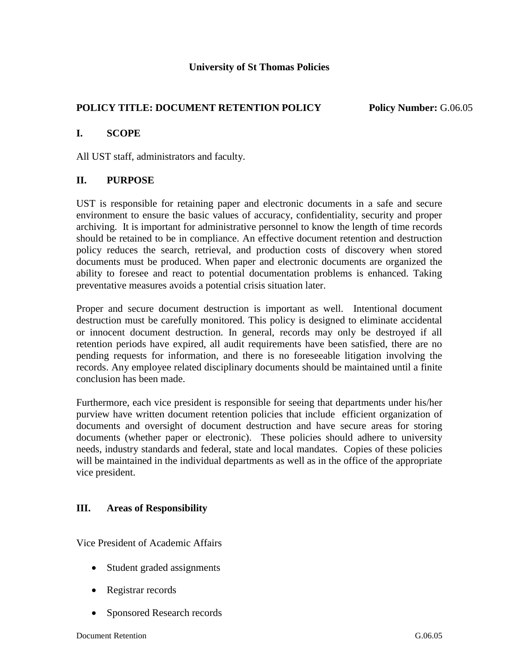# **POLICY TITLE: DOCUMENT RETENTION POLICY Policy Number:** G.06.05

## **I. SCOPE**

All UST staff, administrators and faculty.

## **II. PURPOSE**

UST is responsible for retaining paper and electronic documents in a safe and secure environment to ensure the basic values of accuracy, confidentiality, security and proper archiving. It is important for administrative personnel to know the length of time records should be retained to be in compliance. An effective document retention and destruction policy reduces the search, retrieval, and production costs of discovery when stored documents must be produced. When paper and electronic documents are organized the ability to foresee and react to potential documentation problems is enhanced. Taking preventative measures avoids a potential crisis situation later.

Proper and secure document destruction is important as well. Intentional document destruction must be carefully monitored. This policy is designed to eliminate accidental or innocent document destruction. In general, records may only be destroyed if all retention periods have expired, all audit requirements have been satisfied, there are no pending requests for information, and there is no foreseeable litigation involving the records. Any employee related disciplinary documents should be maintained until a finite conclusion has been made.

Furthermore, each vice president is responsible for seeing that departments under his/her purview have written document retention policies that include efficient organization of documents and oversight of document destruction and have secure areas for storing documents (whether paper or electronic). These policies should adhere to university needs, industry standards and federal, state and local mandates. Copies of these policies will be maintained in the individual departments as well as in the office of the appropriate vice president.

## **III. Areas of Responsibility**

Vice President of Academic Affairs

- Student graded assignments
- Registrar records
- Sponsored Research records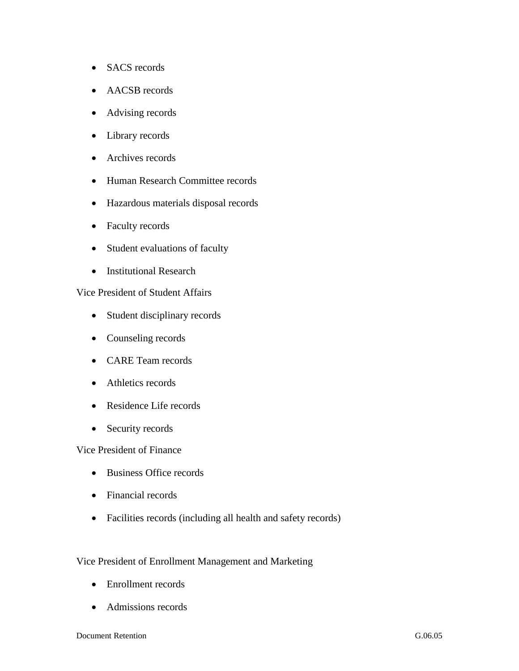- SACS records
- AACSB records
- Advising records
- Library records
- Archives records
- Human Research Committee records
- Hazardous materials disposal records
- Faculty records
- Student evaluations of faculty
- Institutional Research

Vice President of Student Affairs

- Student disciplinary records
- Counseling records
- CARE Team records
- Athletics records
- Residence Life records
- Security records

Vice President of Finance

- Business Office records
- Financial records
- Facilities records (including all health and safety records)

#### Vice President of Enrollment Management and Marketing

- Enrollment records
- Admissions records